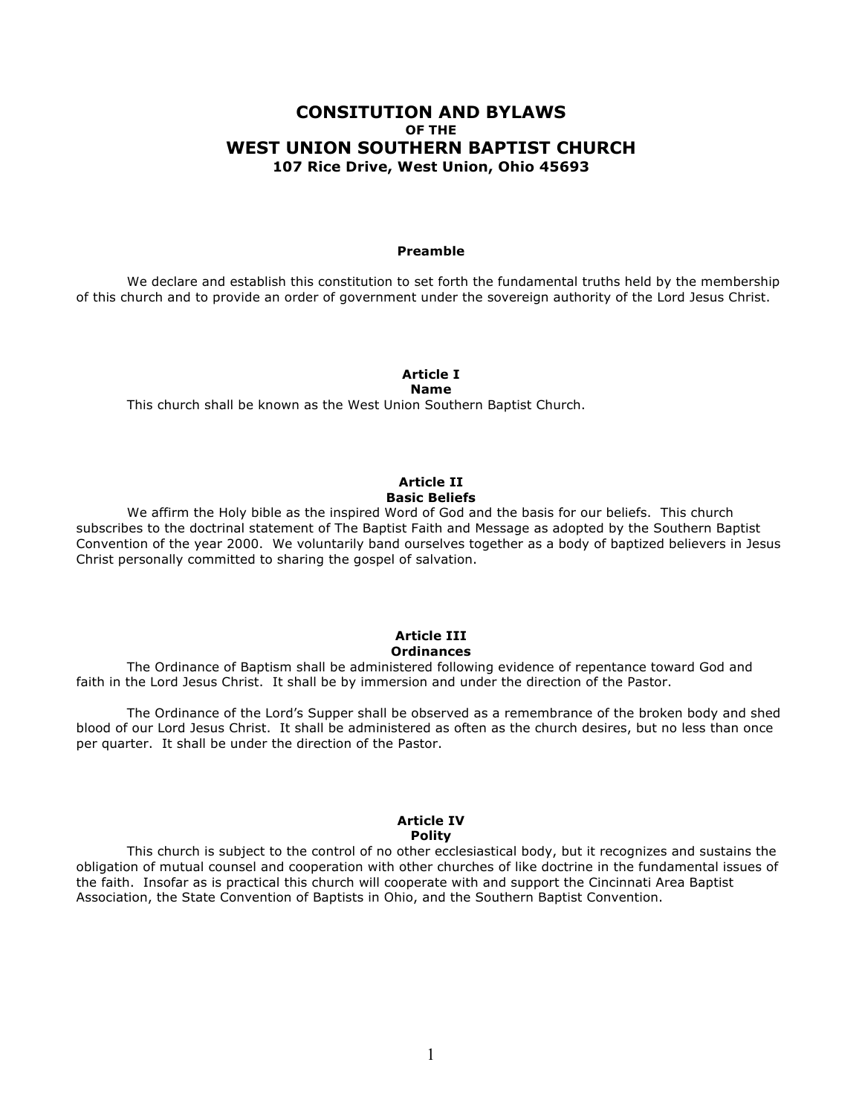# **CONSITUTION AND BYLAWS OF THE WEST UNION SOUTHERN BAPTIST CHURCH 107 Rice Drive, West Union, Ohio 45693**

#### **Preamble**

We declare and establish this constitution to set forth the fundamental truths held by the membership of this church and to provide an order of government under the sovereign authority of the Lord Jesus Christ.

# **Article I**

#### **Name**

This church shall be known as the West Union Southern Baptist Church.

## **Article II Basic Beliefs**

We affirm the Holy bible as the inspired Word of God and the basis for our beliefs. This church subscribes to the doctrinal statement of The Baptist Faith and Message as adopted by the Southern Baptist Convention of the year 2000. We voluntarily band ourselves together as a body of baptized believers in Jesus Christ personally committed to sharing the gospel of salvation.

## **Article III Ordinances**

The Ordinance of Baptism shall be administered following evidence of repentance toward God and faith in the Lord Jesus Christ. It shall be by immersion and under the direction of the Pastor.

The Ordinance of the Lord's Supper shall be observed as a remembrance of the broken body and shed blood of our Lord Jesus Christ. It shall be administered as often as the church desires, but no less than once per quarter. It shall be under the direction of the Pastor.

#### **Article IV Polity**

This church is subject to the control of no other ecclesiastical body, but it recognizes and sustains the obligation of mutual counsel and cooperation with other churches of like doctrine in the fundamental issues of the faith. Insofar as is practical this church will cooperate with and support the Cincinnati Area Baptist Association, the State Convention of Baptists in Ohio, and the Southern Baptist Convention.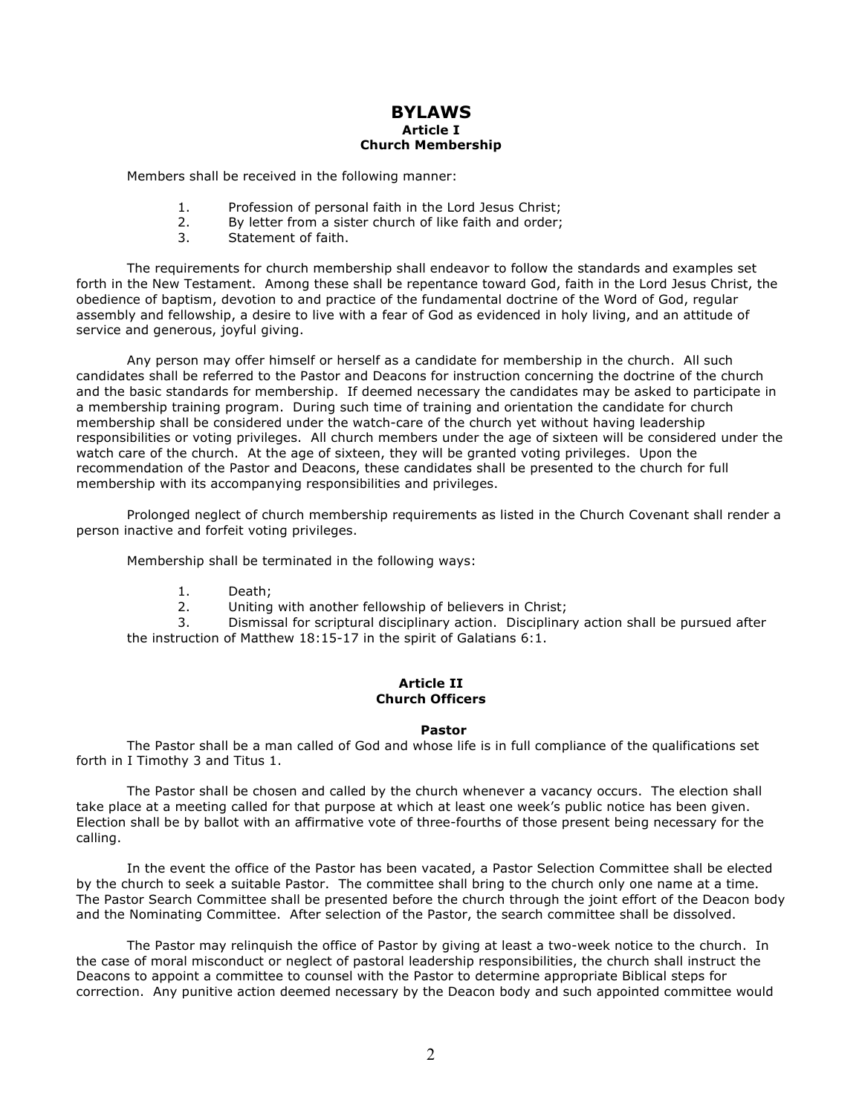## **BYLAWS Article I Church Membership**

Members shall be received in the following manner:

- 1. Profession of personal faith in the Lord Jesus Christ;
- 2. By letter from a sister church of like faith and order;
- 3. Statement of faith.

The requirements for church membership shall endeavor to follow the standards and examples set forth in the New Testament. Among these shall be repentance toward God, faith in the Lord Jesus Christ, the obedience of baptism, devotion to and practice of the fundamental doctrine of the Word of God, regular assembly and fellowship, a desire to live with a fear of God as evidenced in holy living, and an attitude of service and generous, joyful giving.

Any person may offer himself or herself as a candidate for membership in the church. All such candidates shall be referred to the Pastor and Deacons for instruction concerning the doctrine of the church and the basic standards for membership. If deemed necessary the candidates may be asked to participate in a membership training program. During such time of training and orientation the candidate for church membership shall be considered under the watch-care of the church yet without having leadership responsibilities or voting privileges. All church members under the age of sixteen will be considered under the watch care of the church. At the age of sixteen, they will be granted voting privileges. Upon the recommendation of the Pastor and Deacons, these candidates shall be presented to the church for full membership with its accompanying responsibilities and privileges.

Prolonged neglect of church membership requirements as listed in the Church Covenant shall render a person inactive and forfeit voting privileges.

Membership shall be terminated in the following ways:

- 1. Death;
- 2. Uniting with another fellowship of believers in Christ;

3. Dismissal for scriptural disciplinary action. Disciplinary action shall be pursued after the instruction of Matthew 18:15-17 in the spirit of Galatians 6:1.

## **Article II Church Officers**

## **Pastor**

The Pastor shall be a man called of God and whose life is in full compliance of the qualifications set forth in I Timothy 3 and Titus 1.

The Pastor shall be chosen and called by the church whenever a vacancy occurs. The election shall take place at a meeting called for that purpose at which at least one week's public notice has been given. Election shall be by ballot with an affirmative vote of three-fourths of those present being necessary for the calling.

In the event the office of the Pastor has been vacated, a Pastor Selection Committee shall be elected by the church to seek a suitable Pastor. The committee shall bring to the church only one name at a time. The Pastor Search Committee shall be presented before the church through the joint effort of the Deacon body and the Nominating Committee. After selection of the Pastor, the search committee shall be dissolved.

The Pastor may relinquish the office of Pastor by giving at least a two-week notice to the church. In the case of moral misconduct or neglect of pastoral leadership responsibilities, the church shall instruct the Deacons to appoint a committee to counsel with the Pastor to determine appropriate Biblical steps for correction. Any punitive action deemed necessary by the Deacon body and such appointed committee would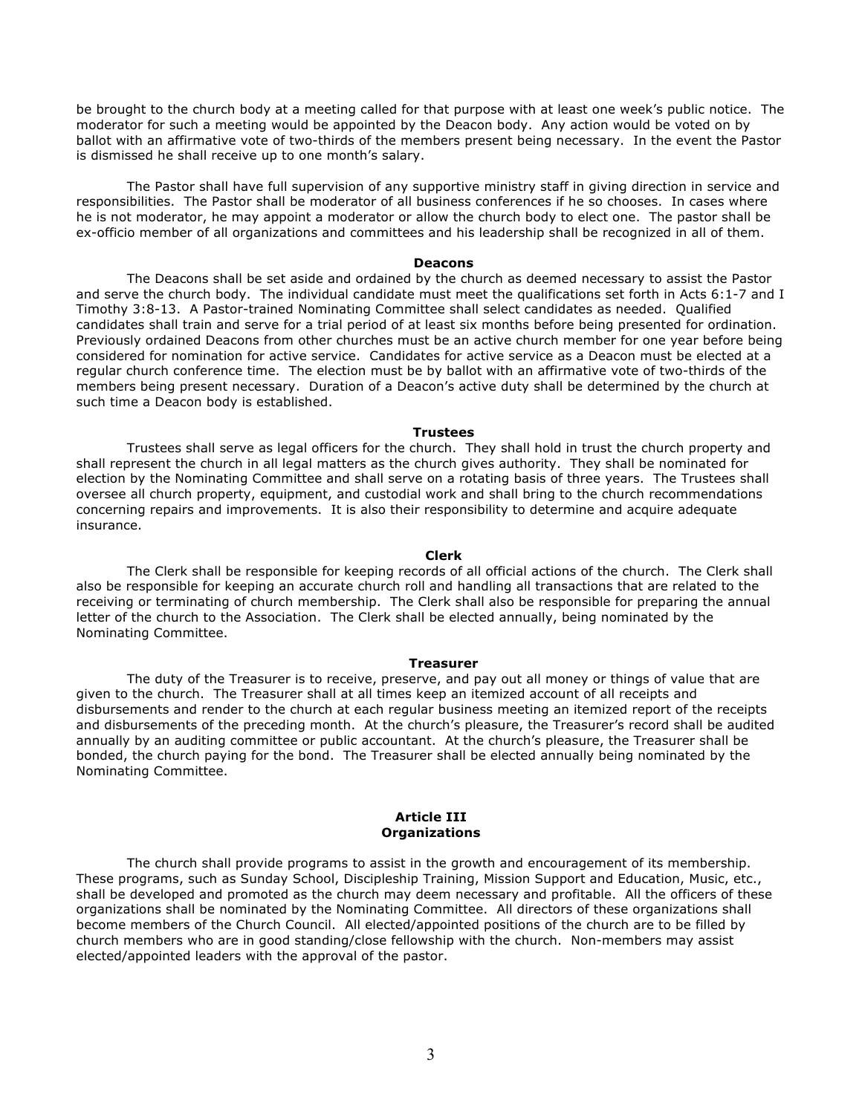be brought to the church body at a meeting called for that purpose with at least one week's public notice. The moderator for such a meeting would be appointed by the Deacon body. Any action would be voted on by ballot with an affirmative vote of two-thirds of the members present being necessary. In the event the Pastor is dismissed he shall receive up to one month's salary.

The Pastor shall have full supervision of any supportive ministry staff in giving direction in service and responsibilities. The Pastor shall be moderator of all business conferences if he so chooses. In cases where he is not moderator, he may appoint a moderator or allow the church body to elect one. The pastor shall be ex-officio member of all organizations and committees and his leadership shall be recognized in all of them.

#### **Deacons**

The Deacons shall be set aside and ordained by the church as deemed necessary to assist the Pastor and serve the church body. The individual candidate must meet the qualifications set forth in Acts 6:1-7 and I Timothy 3:8-13. A Pastor-trained Nominating Committee shall select candidates as needed. Qualified candidates shall train and serve for a trial period of at least six months before being presented for ordination. Previously ordained Deacons from other churches must be an active church member for one year before being considered for nomination for active service. Candidates for active service as a Deacon must be elected at a regular church conference time. The election must be by ballot with an affirmative vote of two-thirds of the members being present necessary. Duration of a Deacon's active duty shall be determined by the church at such time a Deacon body is established.

## **Trustees**

Trustees shall serve as legal officers for the church. They shall hold in trust the church property and shall represent the church in all legal matters as the church gives authority. They shall be nominated for election by the Nominating Committee and shall serve on a rotating basis of three years. The Trustees shall oversee all church property, equipment, and custodial work and shall bring to the church recommendations concerning repairs and improvements. It is also their responsibility to determine and acquire adequate insurance.

#### **Clerk**

The Clerk shall be responsible for keeping records of all official actions of the church. The Clerk shall also be responsible for keeping an accurate church roll and handling all transactions that are related to the receiving or terminating of church membership. The Clerk shall also be responsible for preparing the annual letter of the church to the Association. The Clerk shall be elected annually, being nominated by the Nominating Committee.

#### **Treasurer**

The duty of the Treasurer is to receive, preserve, and pay out all money or things of value that are given to the church. The Treasurer shall at all times keep an itemized account of all receipts and disbursements and render to the church at each regular business meeting an itemized report of the receipts and disbursements of the preceding month. At the church's pleasure, the Treasurer's record shall be audited annually by an auditing committee or public accountant. At the church's pleasure, the Treasurer shall be bonded, the church paying for the bond. The Treasurer shall be elected annually being nominated by the Nominating Committee.

#### **Article III Organizations**

The church shall provide programs to assist in the growth and encouragement of its membership. These programs, such as Sunday School, Discipleship Training, Mission Support and Education, Music, etc., shall be developed and promoted as the church may deem necessary and profitable. All the officers of these organizations shall be nominated by the Nominating Committee. All directors of these organizations shall become members of the Church Council. All elected/appointed positions of the church are to be filled by church members who are in good standing/close fellowship with the church. Non-members may assist elected/appointed leaders with the approval of the pastor.